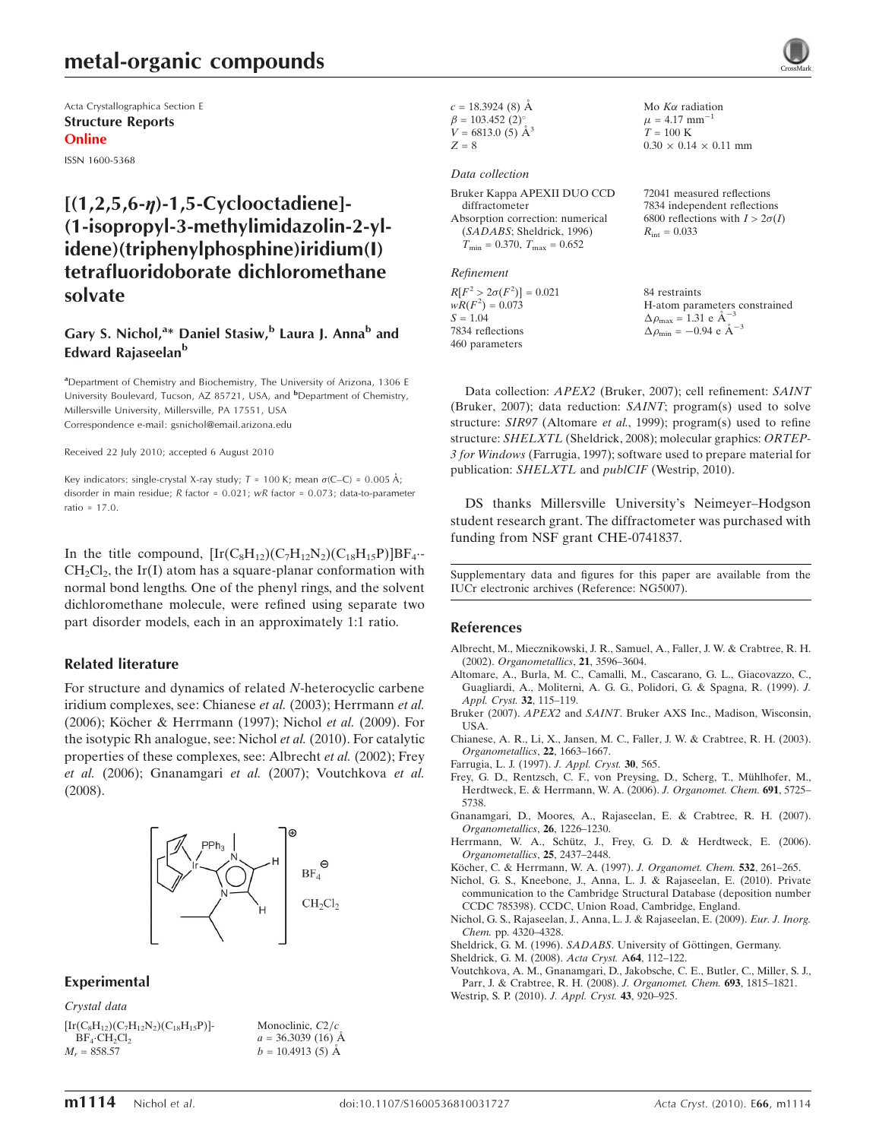# metal-organic compounds

Acta Crystallographica Section E Structure Reports Online

ISSN 1600-5368

# $[(1,2,5,6-n)-1,5-Cyclooctadiene]$ (1-isopropyl-3-methylimidazolin-2-ylidene)(triphenylphosphine)iridium(I) tetrafluoridoborate dichloromethane solvate

## Gary S. Nichol,<sup>a\*</sup> Daniel Stasiw,<sup>b</sup> Laura J. Anna<sup>b</sup> and Edward Rajaseelan<sup>b</sup>

<sup>a</sup>Department of Chemistry and Biochemistry, The University of Arizona, 1306 E University Boulevard, Tucson, AZ 85721, USA, and <sup>b</sup>Department of Chemistry, Millersville University, Millersville, PA 17551, USA Correspondence e-mail: gsnichol@email.arizona.edu

Received 22 July 2010; accepted 6 August 2010

Key indicators: single-crystal X-ray study;  $T = 100$  K; mean  $\sigma$ (C–C) = 0.005 Å; disorder in main residue; R factor = 0.021; wR factor = 0.073; data-to-parameter ratio = 17.0.

In the title compound,  $[\text{Ir}(C_8H_{12})(C_7H_{12}N_2)(C_{18}H_{15}P)]BF_4$ .  $CH<sub>2</sub>Cl<sub>2</sub>$ , the Ir(I) atom has a square-planar conformation with normal bond lengths. One of the phenyl rings, and the solvent dichloromethane molecule, were refined using separate two part disorder models, each in an approximately 1:1 ratio.

#### Related literature

For structure and dynamics of related N-heterocyclic carbene iridium complexes, see: Chianese et al. (2003); Herrmann et al. (2006); Köcher & Herrmann (1997); Nichol et al. (2009). For the isotypic Rh analogue, see: Nichol et al. (2010). For catalytic properties of these complexes, see: Albrecht et al. (2002); Frey et al. (2006); Gnanamgari et al. (2007); Voutchkova et al. (2008).



### Experimental

Crystal data

```
[Ir(C_8H_{12})(C_7H_{12}N_2)(C_{18}H_{15}P)]-
BF_4 \cdot CH_2Cl_2M_r = 858.57
```
Monoclinic,  $C2/c$  $a = 36.3039(16)$  Å  $b = 10.4913(5)$  Å

 $c = 18.3924(8)$  Å  $\beta = 103.452$  (2)<sup>o</sup>  $V = 6813.0$  (5)  $\AA^3$  $Z = 8$ 

#### Data collection

Bruker Kappa APEXII DUO CCD diffractometer Absorption correction: numerical (SADABS; Sheldrick, 1996)  $T_{\text{min}} = 0.370$ ,  $T_{\text{max}} = 0.652$ 

Refinement

 $R[F^2 > 2\sigma(F^2)] = 0.021$  $wR(F^2) = 0.073$  $S = 1.04$ 7834 reflections 460 parameters

Mo  $K\alpha$  radiation  $\mu$  = 4.17 mm<sup>-1</sup>  $T = 100 \text{ K}$  $0.30 \times 0.14 \times 0.11$  mm

72041 measured reflections 7834 independent reflections 6800 reflections with  $I > 2\sigma(I)$  $R_{\text{int}} = 0.033$ 

84 restraints H-atom parameters constrained  $\Delta \rho_{\text{max}} = 1.31 \text{ e A}^{-3}$  $\Delta \rho_{\rm min} = -0.94 \text{ e A}^{-3}$ 

Data collection: APEX2 (Bruker, 2007); cell refinement: SAINT (Bruker, 2007); data reduction: SAINT; program(s) used to solve structure: SIR97 (Altomare et al., 1999); program(s) used to refine structure: SHELXTL (Sheldrick, 2008); molecular graphics: ORTEP-3 for Windows (Farrugia, 1997); software used to prepare material for publication: SHELXTL and publCIF (Westrip, 2010).

DS thanks Millersville University's Neimeyer–Hodgson student research grant. The diffractometer was purchased with funding from NSF grant CHE-0741837.

Supplementary data and figures for this paper are available from the IUCr electronic archives (Reference: NG5007).

#### References

- [Albrecht, M., Miecznikowski, J. R., Samuel, A., Faller, J. W. & Crabtree, R. H.](https://scripts.iucr.org/cgi-bin/cr.cgi?rm=pdfbb&cnor=ng5007&bbid=BB1) (2002). [Organometallics](https://scripts.iucr.org/cgi-bin/cr.cgi?rm=pdfbb&cnor=ng5007&bbid=BB1), 21, 3596–3604.
- [Altomare, A., Burla, M. C., Camalli, M., Cascarano, G. L., Giacovazzo, C.,](https://scripts.iucr.org/cgi-bin/cr.cgi?rm=pdfbb&cnor=ng5007&bbid=BB2) [Guagliardi, A., Moliterni, A. G. G., Polidori, G. & Spagna, R. \(1999\).](https://scripts.iucr.org/cgi-bin/cr.cgi?rm=pdfbb&cnor=ng5007&bbid=BB2) J. [Appl. Cryst.](https://scripts.iucr.org/cgi-bin/cr.cgi?rm=pdfbb&cnor=ng5007&bbid=BB2) 32, 115–119.
- Bruker (2007). APEX2 and SAINT[. Bruker AXS Inc., Madison, Wisconsin,](https://scripts.iucr.org/cgi-bin/cr.cgi?rm=pdfbb&cnor=ng5007&bbid=BB3) [USA.](https://scripts.iucr.org/cgi-bin/cr.cgi?rm=pdfbb&cnor=ng5007&bbid=BB3)
- [Chianese, A. R., Li, X., Jansen, M. C., Faller, J. W. & Crabtree, R. H. \(2003\).](https://scripts.iucr.org/cgi-bin/cr.cgi?rm=pdfbb&cnor=ng5007&bbid=BB4) [Organometallics](https://scripts.iucr.org/cgi-bin/cr.cgi?rm=pdfbb&cnor=ng5007&bbid=BB4), 22, 1663–1667.
- [Farrugia, L. J. \(1997\).](https://scripts.iucr.org/cgi-bin/cr.cgi?rm=pdfbb&cnor=ng5007&bbid=BB5) J. Appl. Cryst. 30, 565.
- Frey, G. D., Rentzsch, C. F., von Preysing, D., Scherg, T., Mühlhofer, M., [Herdtweck, E. & Herrmann, W. A. \(2006\).](https://scripts.iucr.org/cgi-bin/cr.cgi?rm=pdfbb&cnor=ng5007&bbid=BB6) J. Organomet. Chem. 691, 5725– [5738.](https://scripts.iucr.org/cgi-bin/cr.cgi?rm=pdfbb&cnor=ng5007&bbid=BB6)
- [Gnanamgari, D., Moores, A., Rajaseelan, E. & Crabtree, R. H. \(2007\).](https://scripts.iucr.org/cgi-bin/cr.cgi?rm=pdfbb&cnor=ng5007&bbid=BB7) [Organometallics](https://scripts.iucr.org/cgi-bin/cr.cgi?rm=pdfbb&cnor=ng5007&bbid=BB7), 26, 1226–1230.
- Herrmann, W. A., Schütz, J., Frey, G. D. & Herdtweck, E. (2006). [Organometallics](https://scripts.iucr.org/cgi-bin/cr.cgi?rm=pdfbb&cnor=ng5007&bbid=BB8), 25, 2437–2448.
- Kö[cher, C. & Herrmann, W. A. \(1997\).](https://scripts.iucr.org/cgi-bin/cr.cgi?rm=pdfbb&cnor=ng5007&bbid=BB9) J. Organomet. Chem. 532, 261-265.
- [Nichol, G. S., Kneebone, J., Anna, L. J. & Rajaseelan, E. \(2010\). Private](https://scripts.iucr.org/cgi-bin/cr.cgi?rm=pdfbb&cnor=ng5007&bbid=BB10) [communication to the Cambridge Structural Database \(deposition number](https://scripts.iucr.org/cgi-bin/cr.cgi?rm=pdfbb&cnor=ng5007&bbid=BB10) [CCDC 785398\). CCDC, Union Road, Cambridge, England.](https://scripts.iucr.org/cgi-bin/cr.cgi?rm=pdfbb&cnor=ng5007&bbid=BB10)
- [Nichol, G. S., Rajaseelan, J., Anna, L. J. & Rajaseelan, E. \(2009\).](https://scripts.iucr.org/cgi-bin/cr.cgi?rm=pdfbb&cnor=ng5007&bbid=BB11) Eur. J. Inorg. Chem. [pp. 4320–4328.](https://scripts.iucr.org/cgi-bin/cr.cgi?rm=pdfbb&cnor=ng5007&bbid=BB11)
- Sheldrick, G. M. (1996). SADABS. University of Göttingen, Germany.
- [Sheldrick, G. M. \(2008\).](https://scripts.iucr.org/cgi-bin/cr.cgi?rm=pdfbb&cnor=ng5007&bbid=BB13) Acta Cryst. A64, 112–122.
- [Voutchkova, A. M., Gnanamgari, D., Jakobsche, C. E., Butler, C., Miller, S. J.,](https://scripts.iucr.org/cgi-bin/cr.cgi?rm=pdfbb&cnor=ng5007&bbid=BB14) [Parr, J. & Crabtree, R. H. \(2008\).](https://scripts.iucr.org/cgi-bin/cr.cgi?rm=pdfbb&cnor=ng5007&bbid=BB14) J. Organomet. Chem. 693, 1815–1821. [Westrip, S. P. \(2010\).](https://scripts.iucr.org/cgi-bin/cr.cgi?rm=pdfbb&cnor=ng5007&bbid=BB15) J. Appl. Cryst. 43, 920–925.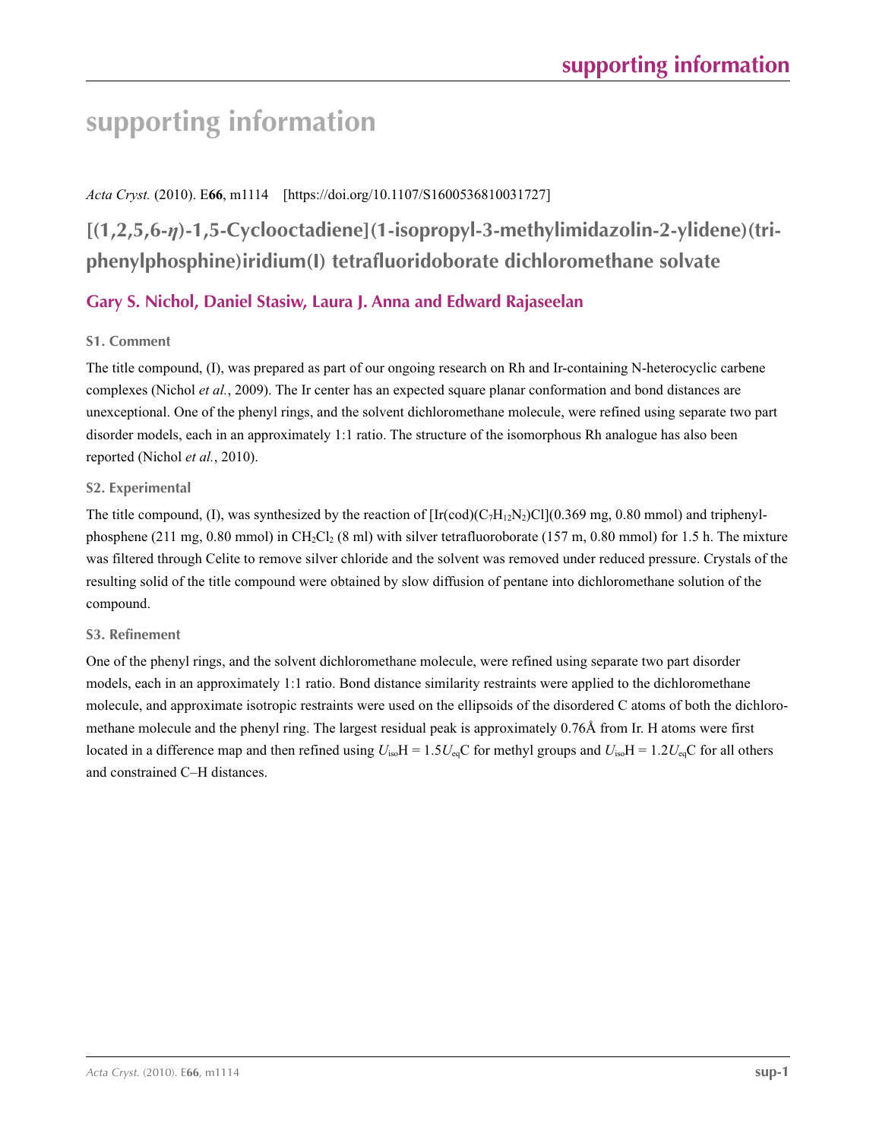# **supporting information**

# *Acta Cryst.* (2010). E**66**, m1114 [https://doi.org/10.1107/S1600536810031727]

# **[(1,2,5,6-***η***)-1,5-Cyclooctadiene](1-isopropyl-3-methylimidazolin-2-ylidene)(triphenylphosphine)iridium(I) tetrafluoridoborate dichloromethane solvate**

# **Gary S. Nichol, Daniel Stasiw, Laura J. Anna and Edward Rajaseelan**

# **S1. Comment**

The title compound, (I), was prepared as part of our ongoing research on Rh and Ir-containing N-heterocyclic carbene complexes (Nichol *et al.*, 2009). The Ir center has an expected square planar conformation and bond distances are unexceptional. One of the phenyl rings, and the solvent dichloromethane molecule, were refined using separate two part disorder models, each in an approximately 1:1 ratio. The structure of the isomorphous Rh analogue has also been reported (Nichol *et al.*, 2010).

## **S2. Experimental**

The title compound, (I), was synthesized by the reaction of  $[Ir(cod)(C<sub>7</sub>H<sub>12</sub>N<sub>2</sub>)Cl](0.369$  mg, 0.80 mmol) and triphenylphosphene (211 mg, 0.80 mmol) in CH<sub>2</sub>Cl<sub>2</sub> (8 ml) with silver tetrafluoroborate (157 m, 0.80 mmol) for 1.5 h. The mixture was filtered through Celite to remove silver chloride and the solvent was removed under reduced pressure. Crystals of the resulting solid of the title compound were obtained by slow diffusion of pentane into dichloromethane solution of the compound.

## **S3. Refinement**

One of the phenyl rings, and the solvent dichloromethane molecule, were refined using separate two part disorder models, each in an approximately 1:1 ratio. Bond distance similarity restraints were applied to the dichloromethane molecule, and approximate isotropic restraints were used on the ellipsoids of the disordered C atoms of both the dichloromethane molecule and the phenyl ring. The largest residual peak is approximately 0.76Å from Ir. H atoms were first located in a difference map and then refined using  $U_{iso}H = 1.5U_{eq}C$  for methyl groups and  $U_{iso}H = 1.2U_{eq}C$  for all others and constrained C–H distances.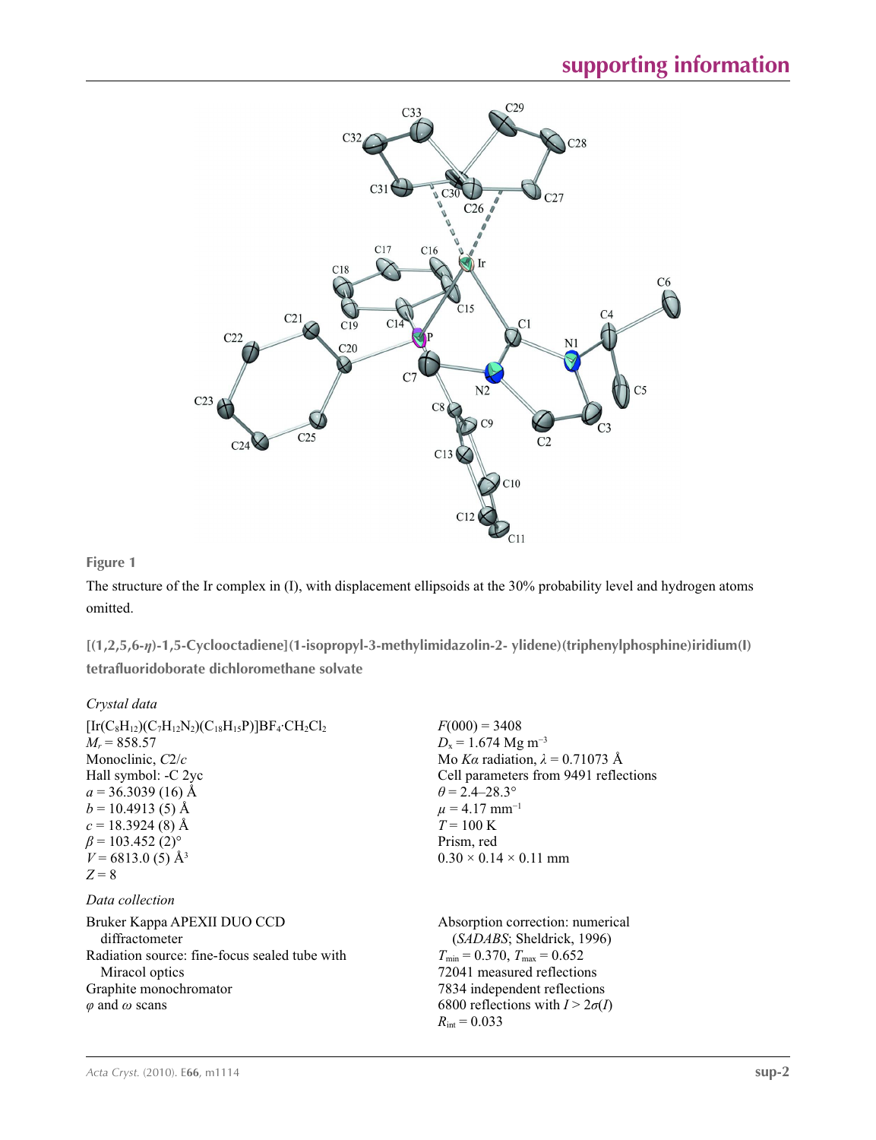

## **Figure 1**

The structure of the Ir complex in (I), with displacement ellipsoids at the 30% probability level and hydrogen atoms omitted.

**[(1,2,5,6-***η***)-1,5-Cyclooctadiene](1-isopropyl-3-methylimidazolin-2- ylidene)(triphenylphosphine)iridium(I) tetrafluoridoborate dichloromethane solvate** 

## *Crystal data*

| $[Ir(C_8H_{12})(C_7H_{12}N_2)(C_{18}H_{15}P)]BF_4 \cdot CH_2Cl_2$<br>$M_r = 858.57$<br>Monoclinic, $C2/c$<br>Hall symbol: -C 2yc<br>$a = 36.3039(16)$ Å<br>$b = 10.4913(5)$ Å<br>$c = 18.3924(8)$ Å<br>$\beta$ = 103.452 (2) <sup>o</sup><br>$V = 6813.0(5)$ Å <sup>3</sup> | $F(000) = 3408$<br>$D_x = 1.674$ Mg m <sup>-3</sup><br>Mo Ka radiation, $\lambda = 0.71073$ Å<br>Cell parameters from 9491 reflections<br>$\theta$ = 2.4–28.3°<br>$\mu = 4.17$ mm <sup>-1</sup><br>$T = 100 \text{ K}$<br>Prism, red<br>$0.30 \times 0.14 \times 0.11$ mm |
|-----------------------------------------------------------------------------------------------------------------------------------------------------------------------------------------------------------------------------------------------------------------------------|---------------------------------------------------------------------------------------------------------------------------------------------------------------------------------------------------------------------------------------------------------------------------|
| $Z = 8$                                                                                                                                                                                                                                                                     |                                                                                                                                                                                                                                                                           |
| Data collection                                                                                                                                                                                                                                                             |                                                                                                                                                                                                                                                                           |
| Bruker Kappa APEXII DUO CCD<br>diffractometer<br>Radiation source: fine-focus sealed tube with<br>Miracol optics                                                                                                                                                            | Absorption correction: numerical<br>(SADABS; Sheldrick, 1996)<br>$T_{\text{min}}$ = 0.370, $T_{\text{max}}$ = 0.652<br>72041 measured reflections                                                                                                                         |
| Graphite monochromator<br>$\varphi$ and $\omega$ scans                                                                                                                                                                                                                      | 7834 independent reflections<br>6800 reflections with $I > 2\sigma(I)$<br>$R_{\text{int}} = 0.033$                                                                                                                                                                        |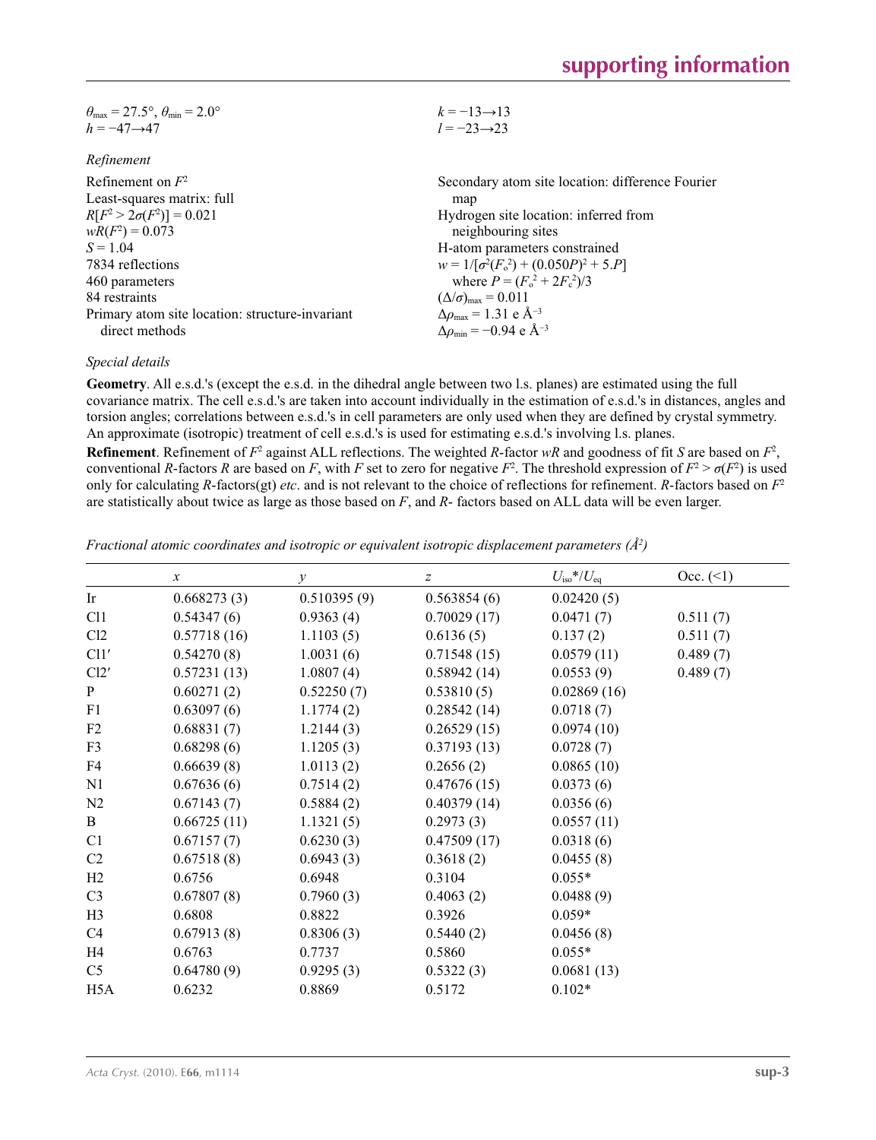| $\theta_{\text{max}} = 27.5^{\circ}, \theta_{\text{min}} = 2.0^{\circ}$ | $k = -13 \rightarrow 13$                         |
|-------------------------------------------------------------------------|--------------------------------------------------|
| $h = -47 \rightarrow 47$                                                | $l = -23 \rightarrow 23$                         |
| Refinement                                                              |                                                  |
| Refinement on $F^2$                                                     | Secondary atom site location: difference Fourier |
| Least-squares matrix: full                                              | map                                              |
| $R[F^2 > 2\pi (F^2)] = 0.021$                                           | Hydrogen site location: inferred from            |

| $R[F^2 > 2\sigma(F^2)] = 0.021$                 | Hydrogen site location: inferred from                     |
|-------------------------------------------------|-----------------------------------------------------------|
| $wR(F^2) = 0.073$                               | neighbouring sites                                        |
| $S = 1.04$                                      | H-atom parameters constrained                             |
| 7834 reflections                                | $w = 1/[\sigma^2(F_0^2) + (0.050P)^2 + 5.P]$              |
| 460 parameters                                  | where $P = (F_o^2 + 2F_c^2)/3$                            |
| 84 restraints                                   | $(\Delta/\sigma)_{\text{max}} = 0.011$                    |
| Primary atom site location: structure-invariant | $\Delta \rho_{\text{max}} = 1.31 \text{ e A}^{-3}$        |
| direct methods                                  | $\Delta\rho_{\rm min} = -0.94 \text{ e } \text{\AA}^{-3}$ |
|                                                 |                                                           |

### *Special details*

**Geometry**. All e.s.d.'s (except the e.s.d. in the dihedral angle between two l.s. planes) are estimated using the full covariance matrix. The cell e.s.d.'s are taken into account individually in the estimation of e.s.d.'s in distances, angles and torsion angles; correlations between e.s.d.'s in cell parameters are only used when they are defined by crystal symmetry. An approximate (isotropic) treatment of cell e.s.d.'s is used for estimating e.s.d.'s involving l.s. planes.

**Refinement**. Refinement of  $F^2$  against ALL reflections. The weighted *R*-factor  $wR$  and goodness of fit *S* are based on  $F^2$ , conventional *R*-factors *R* are based on *F*, with *F* set to zero for negative *F*<sup>2</sup>. The threshold expression of  $F^2 > \sigma(F^2)$  is used only for calculating *R*-factors(gt) *etc*. and is not relevant to the choice of reflections for refinement. *R*-factors based on *F*<sup>2</sup> are statistically about twice as large as those based on *F*, and *R*- factors based on ALL data will be even larger.

*Fractional atomic coordinates and isotropic or equivalent isotropic displacement parameters (Å2 )*

|                  | $\boldsymbol{x}$ | $\mathcal{Y}$ | $\boldsymbol{Z}$ | $U_{\rm iso}*/U_{\rm eq}$ | Occ. (2) |
|------------------|------------------|---------------|------------------|---------------------------|----------|
| Ir               | 0.668273(3)      | 0.510395(9)   | 0.563854(6)      | 0.02420(5)                |          |
| C11              | 0.54347(6)       | 0.9363(4)     | 0.70029(17)      | 0.0471(7)                 | 0.511(7) |
| Cl <sub>2</sub>  | 0.57718(16)      | 1.1103(5)     | 0.6136(5)        | 0.137(2)                  | 0.511(7) |
| Cl1'             | 0.54270(8)       | 1.0031(6)     | 0.71548(15)      | 0.0579(11)                | 0.489(7) |
| Cl2'             | 0.57231(13)      | 1.0807(4)     | 0.58942(14)      | 0.0553(9)                 | 0.489(7) |
| $\mathbf{P}$     | 0.60271(2)       | 0.52250(7)    | 0.53810(5)       | 0.02869(16)               |          |
| F1               | 0.63097(6)       | 1.1774(2)     | 0.28542(14)      | 0.0718(7)                 |          |
| F <sub>2</sub>   | 0.68831(7)       | 1.2144(3)     | 0.26529(15)      | 0.0974(10)                |          |
| F3               | 0.68298(6)       | 1.1205(3)     | 0.37193(13)      | 0.0728(7)                 |          |
| F4               | 0.66639(8)       | 1.0113(2)     | 0.2656(2)        | 0.0865(10)                |          |
| N1               | 0.67636(6)       | 0.7514(2)     | 0.47676(15)      | 0.0373(6)                 |          |
| N <sub>2</sub>   | 0.67143(7)       | 0.5884(2)     | 0.40379(14)      | 0.0356(6)                 |          |
| $\mathbf{B}$     | 0.66725(11)      | 1.1321(5)     | 0.2973(3)        | 0.0557(11)                |          |
| C <sub>1</sub>   | 0.67157(7)       | 0.6230(3)     | 0.47509(17)      | 0.0318(6)                 |          |
| C <sub>2</sub>   | 0.67518(8)       | 0.6943(3)     | 0.3618(2)        | 0.0455(8)                 |          |
| H2               | 0.6756           | 0.6948        | 0.3104           | $0.055*$                  |          |
| C <sub>3</sub>   | 0.67807(8)       | 0.7960(3)     | 0.4063(2)        | 0.0488(9)                 |          |
| H <sub>3</sub>   | 0.6808           | 0.8822        | 0.3926           | $0.059*$                  |          |
| C4               | 0.67913(8)       | 0.8306(3)     | 0.5440(2)        | 0.0456(8)                 |          |
| H4               | 0.6763           | 0.7737        | 0.5860           | $0.055*$                  |          |
| C <sub>5</sub>   | 0.64780(9)       | 0.9295(3)     | 0.5322(3)        | 0.0681(13)                |          |
| H <sub>5</sub> A | 0.6232           | 0.8869        | 0.5172           | $0.102*$                  |          |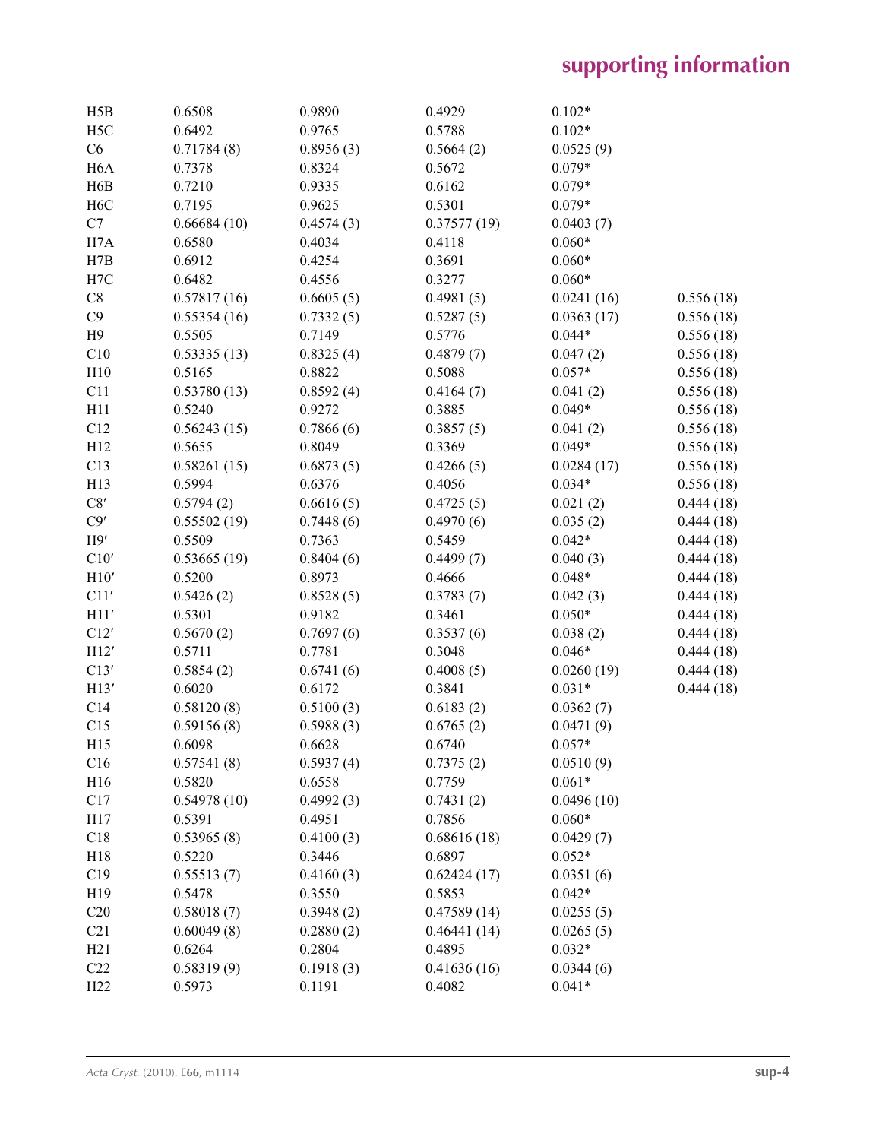| H5B              | 0.6508      | 0.9890              | 0.4929      | $0.102*$               |           |
|------------------|-------------|---------------------|-------------|------------------------|-----------|
| H <sub>5</sub> C | 0.6492      | 0.9765              | 0.5788      | $0.102*$               |           |
| C6               | 0.71784(8)  | 0.8956(3)           | 0.5664(2)   | 0.0525(9)              |           |
| H <sub>6</sub> A | 0.7378      | 0.8324              | 0.5672      | $0.079*$               |           |
| H6B              | 0.7210      | 0.9335              | 0.6162      | $0.079*$               |           |
| H <sub>6</sub> C | 0.7195      | 0.9625              | 0.5301      | $0.079*$               |           |
| C7               | 0.66684(10) | 0.4574(3)           | 0.37577(19) | 0.0403(7)              |           |
| H7A              | 0.6580      | 0.4034              | 0.4118      | $0.060*$               |           |
| H7B              | 0.6912      | 0.4254              | 0.3691      | $0.060*$               |           |
| H7C              | 0.6482      | 0.4556              | 0.3277      | $0.060*$               |           |
| $\rm{C}8$        | 0.57817(16) | 0.6605(5)           | 0.4981(5)   | 0.0241(16)             | 0.556(18) |
| C9               | 0.55354(16) | 0.7332(5)           | 0.5287(5)   | 0.0363(17)             | 0.556(18) |
| H9               | 0.5505      | 0.7149              | 0.5776      | $0.044*$               | 0.556(18) |
| C10              | 0.53335(13) | 0.8325(4)           | 0.4879(7)   | 0.047(2)               | 0.556(18) |
| H10              | 0.5165      | 0.8822              | 0.5088      | $0.057*$               | 0.556(18) |
| C11              | 0.53780(13) | 0.8592(4)           | 0.4164(7)   | 0.041(2)               | 0.556(18) |
| H11              | 0.5240      | 0.9272              | 0.3885      | $0.049*$               | 0.556(18) |
| C12              | 0.56243(15) | 0.7866(6)           | 0.3857(5)   | 0.041(2)               | 0.556(18) |
| H12              | 0.5655      | 0.8049              | 0.3369      | $0.049*$               |           |
|                  |             |                     |             |                        | 0.556(18) |
| C13              | 0.58261(15) | 0.6873(5)<br>0.6376 | 0.4266(5)   | 0.0284(17)<br>$0.034*$ | 0.556(18) |
| H13              | 0.5994      |                     | 0.4056      |                        | 0.556(18) |
| C8'              | 0.5794(2)   | 0.6616(5)           | 0.4725(5)   | 0.021(2)               | 0.444(18) |
| C9'              | 0.55502(19) | 0.7448(6)           | 0.4970(6)   | 0.035(2)               | 0.444(18) |
| H9'              | 0.5509      | 0.7363              | 0.5459      | $0.042*$               | 0.444(18) |
| C10'             | 0.53665(19) | 0.8404(6)           | 0.4499(7)   | 0.040(3)               | 0.444(18) |
| H10'             | 0.5200      | 0.8973              | 0.4666      | $0.048*$               | 0.444(18) |
| C11'             | 0.5426(2)   | 0.8528(5)           | 0.3783(7)   | 0.042(3)               | 0.444(18) |
| H11'             | 0.5301      | 0.9182              | 0.3461      | $0.050*$               | 0.444(18) |
| C12'             | 0.5670(2)   | 0.7697(6)           | 0.3537(6)   | 0.038(2)               | 0.444(18) |
| H12'             | 0.5711      | 0.7781              | 0.3048      | $0.046*$               | 0.444(18) |
| C13'             | 0.5854(2)   | 0.6741(6)           | 0.4008(5)   | 0.0260(19)             | 0.444(18) |
| H13'             | 0.6020      | 0.6172              | 0.3841      | $0.031*$               | 0.444(18) |
| C14              | 0.58120(8)  | 0.5100(3)           | 0.6183(2)   | 0.0362(7)              |           |
| C15              | 0.59156(8)  | 0.5988(3)           | 0.6765(2)   | 0.0471(9)              |           |
| H15              | 0.6098      | 0.6628              | 0.6740      | $0.057*$               |           |
| C16              | 0.57541(8)  | 0.5937(4)           | 0.7375(2)   | 0.0510(9)              |           |
| H16              | 0.5820      | 0.6558              | 0.7759      | $0.061*$               |           |
| C17              | 0.54978(10) | 0.4992(3)           | 0.7431(2)   | 0.0496(10)             |           |
| H17              | 0.5391      | 0.4951              | 0.7856      | $0.060*$               |           |
| C18              | 0.53965(8)  | 0.4100(3)           | 0.68616(18) | 0.0429(7)              |           |
| H18              | 0.5220      | 0.3446              | 0.6897      | $0.052*$               |           |
| C19              | 0.55513(7)  | 0.4160(3)           | 0.62424(17) | 0.0351(6)              |           |
| H19              | 0.5478      | 0.3550              | 0.5853      | $0.042*$               |           |
| C20              | 0.58018(7)  | 0.3948(2)           | 0.47589(14) | 0.0255(5)              |           |
| C21              | 0.60049(8)  | 0.2880(2)           | 0.46441(14) | 0.0265(5)              |           |
| H21              | 0.6264      | 0.2804              | 0.4895      | $0.032*$               |           |
| C22              | 0.58319(9)  | 0.1918(3)           | 0.41636(16) | 0.0344(6)              |           |
| H22              | 0.5973      | 0.1191              | 0.4082      | $0.041*$               |           |
|                  |             |                     |             |                        |           |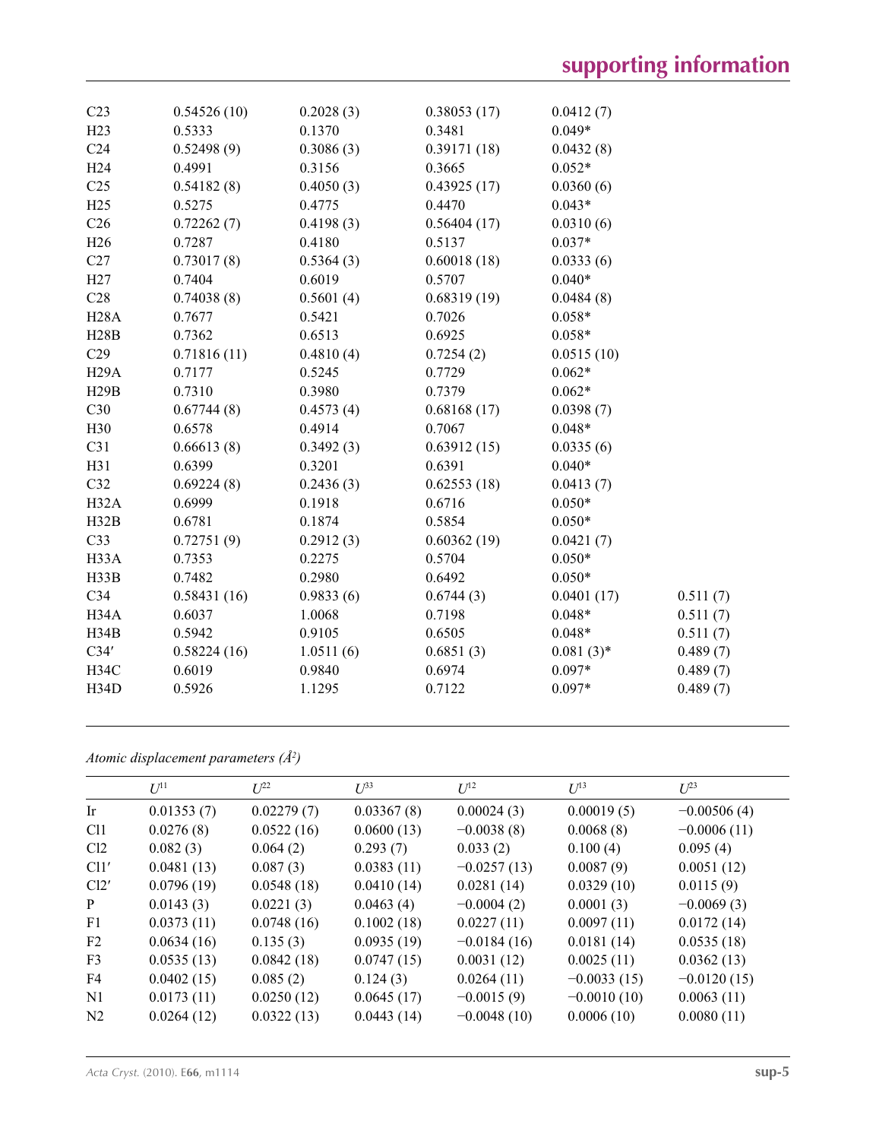| C <sub>23</sub>   | 0.54526(10) | 0.2028(3) | 0.38053(17) | 0.0412(7)   |          |
|-------------------|-------------|-----------|-------------|-------------|----------|
| H23               | 0.5333      | 0.1370    | 0.3481      | $0.049*$    |          |
| C <sub>24</sub>   | 0.52498(9)  | 0.3086(3) | 0.39171(18) | 0.0432(8)   |          |
| H <sub>24</sub>   | 0.4991      | 0.3156    | 0.3665      | $0.052*$    |          |
| C <sub>25</sub>   | 0.54182(8)  | 0.4050(3) | 0.43925(17) | 0.0360(6)   |          |
| H25               | 0.5275      | 0.4775    | 0.4470      | $0.043*$    |          |
| C <sub>26</sub>   | 0.72262(7)  | 0.4198(3) | 0.56404(17) | 0.0310(6)   |          |
| H26               | 0.7287      | 0.4180    | 0.5137      | $0.037*$    |          |
| C27               | 0.73017(8)  | 0.5364(3) | 0.60018(18) | 0.0333(6)   |          |
| H27               | 0.7404      | 0.6019    | 0.5707      | $0.040*$    |          |
| C28               | 0.74038(8)  | 0.5601(4) | 0.68319(19) | 0.0484(8)   |          |
| <b>H28A</b>       | 0.7677      | 0.5421    | 0.7026      | $0.058*$    |          |
| H28B              | 0.7362      | 0.6513    | 0.6925      | $0.058*$    |          |
| C29               | 0.71816(11) | 0.4810(4) | 0.7254(2)   | 0.0515(10)  |          |
| H29A              | 0.7177      | 0.5245    | 0.7729      | $0.062*$    |          |
| H29B              | 0.7310      | 0.3980    | 0.7379      | $0.062*$    |          |
| C30               | 0.67744(8)  | 0.4573(4) | 0.68168(17) | 0.0398(7)   |          |
| H30               | 0.6578      | 0.4914    | 0.7067      | $0.048*$    |          |
| C31               | 0.66613(8)  | 0.3492(3) | 0.63912(15) | 0.0335(6)   |          |
| H31               | 0.6399      | 0.3201    | 0.6391      | $0.040*$    |          |
| C32               | 0.69224(8)  | 0.2436(3) | 0.62553(18) | 0.0413(7)   |          |
| H32A              | 0.6999      | 0.1918    | 0.6716      | $0.050*$    |          |
| H32B              | 0.6781      | 0.1874    | 0.5854      | $0.050*$    |          |
| C33               | 0.72751(9)  | 0.2912(3) | 0.60362(19) | 0.0421(7)   |          |
| H33A              | 0.7353      | 0.2275    | 0.5704      | $0.050*$    |          |
| H33B              | 0.7482      | 0.2980    | 0.6492      | $0.050*$    |          |
| C34               | 0.58431(16) | 0.9833(6) | 0.6744(3)   | 0.0401(17)  | 0.511(7) |
| H34A              | 0.6037      | 1.0068    | 0.7198      | $0.048*$    | 0.511(7) |
| H34B              | 0.5942      | 0.9105    | 0.6505      | $0.048*$    | 0.511(7) |
| C34'              | 0.58224(16) | 1.0511(6) | 0.6851(3)   | $0.081(3)*$ | 0.489(7) |
| H34C              | 0.6019      | 0.9840    | 0.6974      | $0.097*$    | 0.489(7) |
| H <sub>34</sub> D | 0.5926      | 1.1295    | 0.7122      | $0.097*$    | 0.489(7) |
|                   |             |           |             |             |          |

*Atomic displacement parameters (Å2 )*

|                 | $U^{11}$   | $L^{22}$   | $I^{\frac{3}{3}}$ | $U^{12}$      | $U^{13}$      | $L^{23}$      |
|-----------------|------------|------------|-------------------|---------------|---------------|---------------|
| <b>Ir</b>       | 0.01353(7) | 0.02279(7) | 0.03367(8)        | 0.00024(3)    | 0.00019(5)    | $-0.00506(4)$ |
| C <sub>11</sub> | 0.0276(8)  | 0.0522(16) | 0.0600(13)        | $-0.0038(8)$  | 0.0068(8)     | $-0.0006(11)$ |
| Cl <sub>2</sub> | 0.082(3)   | 0.064(2)   | 0.293(7)          | 0.033(2)      | 0.100(4)      | 0.095(4)      |
| Cl1'            | 0.0481(13) | 0.087(3)   | 0.0383(11)        | $-0.0257(13)$ | 0.0087(9)     | 0.0051(12)    |
| Cl2'            | 0.0796(19) | 0.0548(18) | 0.0410(14)        | 0.0281(14)    | 0.0329(10)    | 0.0115(9)     |
| P               | 0.0143(3)  | 0.0221(3)  | 0.0463(4)         | $-0.0004(2)$  | 0.0001(3)     | $-0.0069(3)$  |
| F <sub>1</sub>  | 0.0373(11) | 0.0748(16) | 0.1002(18)        | 0.0227(11)    | 0.0097(11)    | 0.0172(14)    |
| F <sub>2</sub>  | 0.0634(16) | 0.135(3)   | 0.0935(19)        | $-0.0184(16)$ | 0.0181(14)    | 0.0535(18)    |
| F <sub>3</sub>  | 0.0535(13) | 0.0842(18) | 0.0747(15)        | 0.0031(12)    | 0.0025(11)    | 0.0362(13)    |
| F4              | 0.0402(15) | 0.085(2)   | 0.124(3)          | 0.0264(11)    | $-0.0033(15)$ | $-0.0120(15)$ |
| N1              | 0.0173(11) | 0.0250(12) | 0.0645(17)        | $-0.0015(9)$  | $-0.0010(10)$ | 0.0063(11)    |
| N <sub>2</sub>  | 0.0264(12) | 0.0322(13) | 0.0443(14)        | $-0.0048(10)$ | 0.0006(10)    | 0.0080(11)    |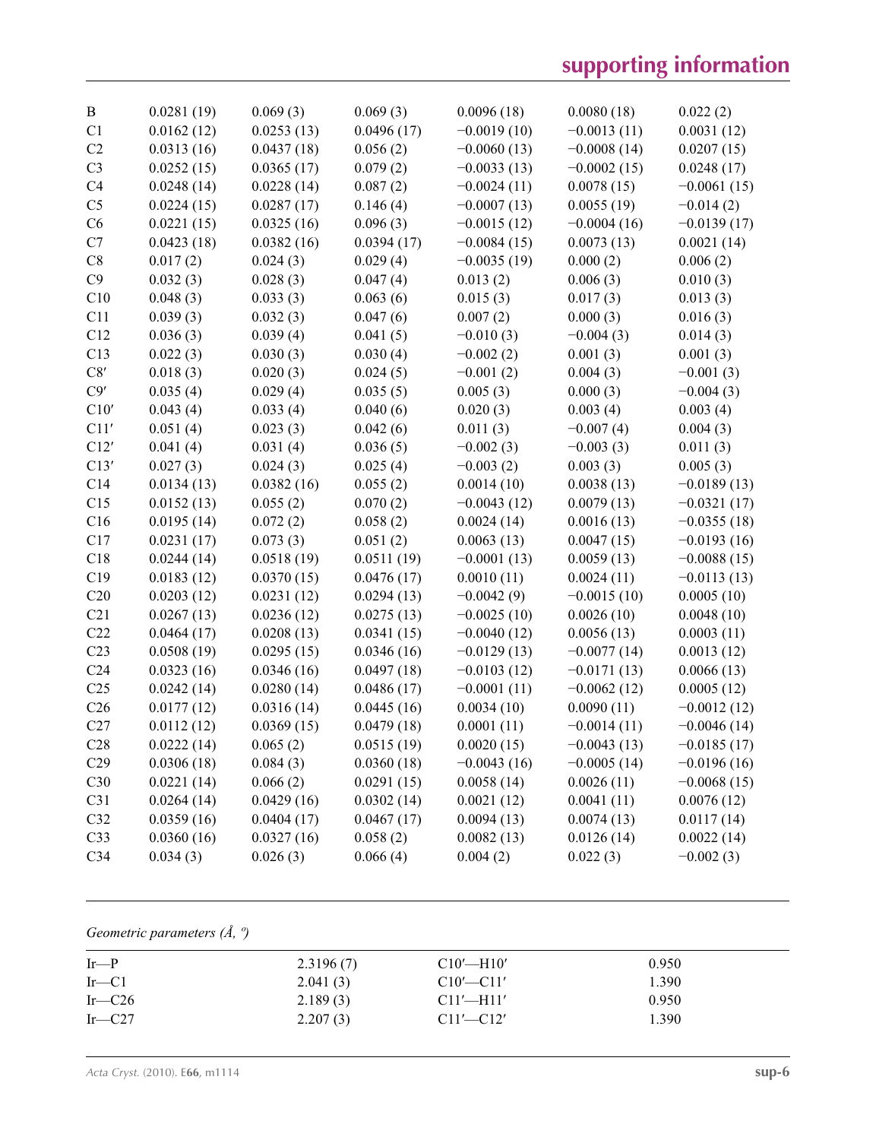# **supporting information**

| $\bf{B}$        | 0.0281(19) | 0.069(3)   | 0.069(3)   | 0.0096(18)    | 0.0080(18)    | 0.022(2)      |
|-----------------|------------|------------|------------|---------------|---------------|---------------|
| C1              | 0.0162(12) | 0.0253(13) | 0.0496(17) | $-0.0019(10)$ | $-0.0013(11)$ | 0.0031(12)    |
| C <sub>2</sub>  | 0.0313(16) | 0.0437(18) | 0.056(2)   | $-0.0060(13)$ | $-0.0008(14)$ | 0.0207(15)    |
| C <sub>3</sub>  | 0.0252(15) | 0.0365(17) | 0.079(2)   | $-0.0033(13)$ | $-0.0002(15)$ | 0.0248(17)    |
| C4              | 0.0248(14) | 0.0228(14) | 0.087(2)   | $-0.0024(11)$ | 0.0078(15)    | $-0.0061(15)$ |
| C <sub>5</sub>  | 0.0224(15) | 0.0287(17) | 0.146(4)   | $-0.0007(13)$ | 0.0055(19)    | $-0.014(2)$   |
| C6              | 0.0221(15) | 0.0325(16) | 0.096(3)   | $-0.0015(12)$ | $-0.0004(16)$ | $-0.0139(17)$ |
| C7              | 0.0423(18) | 0.0382(16) | 0.0394(17) | $-0.0084(15)$ | 0.0073(13)    | 0.0021(14)    |
| C8              | 0.017(2)   | 0.024(3)   | 0.029(4)   | $-0.0035(19)$ | 0.000(2)      | 0.006(2)      |
| C9              | 0.032(3)   | 0.028(3)   | 0.047(4)   | 0.013(2)      | 0.006(3)      | 0.010(3)      |
| C10             | 0.048(3)   | 0.033(3)   | 0.063(6)   | 0.015(3)      | 0.017(3)      | 0.013(3)      |
| C11             | 0.039(3)   | 0.032(3)   | 0.047(6)   | 0.007(2)      | 0.000(3)      | 0.016(3)      |
| C12             | 0.036(3)   | 0.039(4)   | 0.041(5)   | $-0.010(3)$   | $-0.004(3)$   | 0.014(3)      |
| C13             | 0.022(3)   | 0.030(3)   | 0.030(4)   | $-0.002(2)$   | 0.001(3)      | 0.001(3)      |
| C8'             | 0.018(3)   | 0.020(3)   | 0.024(5)   | $-0.001(2)$   | 0.004(3)      | $-0.001(3)$   |
| C9'             | 0.035(4)   | 0.029(4)   | 0.035(5)   | 0.005(3)      | 0.000(3)      | $-0.004(3)$   |
| C10'            | 0.043(4)   | 0.033(4)   | 0.040(6)   | 0.020(3)      | 0.003(4)      | 0.003(4)      |
| C11'            | 0.051(4)   | 0.023(3)   | 0.042(6)   | 0.011(3)      | $-0.007(4)$   | 0.004(3)      |
| C12'            | 0.041(4)   | 0.031(4)   | 0.036(5)   | $-0.002(3)$   | $-0.003(3)$   | 0.011(3)      |
| C13'            | 0.027(3)   | 0.024(3)   | 0.025(4)   | $-0.003(2)$   | 0.003(3)      | 0.005(3)      |
| C14             | 0.0134(13) | 0.0382(16) | 0.055(2)   | 0.0014(10)    | 0.0038(13)    | $-0.0189(13)$ |
| C15             | 0.0152(13) | 0.055(2)   | 0.070(2)   | $-0.0043(12)$ | 0.0079(13)    | $-0.0321(17)$ |
| C16             | 0.0195(14) | 0.072(2)   | 0.058(2)   | 0.0024(14)    | 0.0016(13)    | $-0.0355(18)$ |
| C17             | 0.0231(17) | 0.073(3)   | 0.051(2)   | 0.0063(13)    | 0.0047(15)    | $-0.0193(16)$ |
| C18             | 0.0244(14) | 0.0518(19) | 0.0511(19) | $-0.0001(13)$ | 0.0059(13)    | $-0.0088(15)$ |
| C19             | 0.0183(12) | 0.0370(15) | 0.0476(17) | 0.0010(11)    | 0.0024(11)    | $-0.0113(13)$ |
| C20             | 0.0203(12) | 0.0231(12) | 0.0294(13) | $-0.0042(9)$  | $-0.0015(10)$ | 0.0005(10)    |
| C21             | 0.0267(13) | 0.0236(12) | 0.0275(13) | $-0.0025(10)$ | 0.0026(10)    | 0.0048(10)    |
| C22             | 0.0464(17) | 0.0208(13) | 0.0341(15) | $-0.0040(12)$ | 0.0056(13)    | 0.0003(11)    |
| C <sub>23</sub> | 0.0508(19) | 0.0295(15) | 0.0346(16) | $-0.0129(13)$ | $-0.0077(14)$ | 0.0013(12)    |
| C <sub>24</sub> | 0.0323(16) | 0.0346(16) | 0.0497(18) | $-0.0103(12)$ | $-0.0171(13)$ | 0.0066(13)    |
| C <sub>25</sub> | 0.0242(14) | 0.0280(14) | 0.0486(17) | $-0.0001(11)$ | $-0.0062(12)$ | 0.0005(12)    |
| C <sub>26</sub> | 0.0177(12) | 0.0316(14) | 0.0445(16) | 0.0034(10)    | 0.0090(11)    | $-0.0012(12)$ |
| C27             | 0.0112(12) | 0.0369(15) | 0.0479(18) | 0.0001(11)    | $-0.0014(11)$ | $-0.0046(14)$ |
| C28             | 0.0222(14) | 0.065(2)   | 0.0515(19) | 0.0020(15)    | $-0.0043(13)$ | $-0.0185(17)$ |
| C29             | 0.0306(18) | 0.084(3)   | 0.0360(18) | $-0.0043(16)$ | $-0.0005(14)$ | $-0.0196(16)$ |
| C30             | 0.0221(14) | 0.066(2)   | 0.0291(15) | 0.0058(14)    | 0.0026(11)    | $-0.0068(15)$ |
| C31             | 0.0264(14) | 0.0429(16) | 0.0302(14) | 0.0021(12)    | 0.0041(11)    | 0.0076(12)    |
| C32             | 0.0359(16) | 0.0404(17) | 0.0467(17) | 0.0094(13)    | 0.0074(13)    | 0.0117(14)    |
| C33             | 0.0360(16) | 0.0327(16) | 0.058(2)   | 0.0082(13)    | 0.0126(14)    | 0.0022(14)    |
| C34             | 0.034(3)   | 0.026(3)   | 0.066(4)   | 0.004(2)      | 0.022(3)      | $-0.002(3)$   |

*Geometric parameters (Å, º)*

| $Ir-P$      | 2.3196(7) | $Cl0'$ —H $10'$ | 0.950 |  |
|-------------|-----------|-----------------|-------|--|
| $Ir$ — $Cl$ | 2.041(3)  | $C10'$ — $C11'$ | 1.390 |  |
| Ir $-C26$   | 2.189(3)  | $Cl1'$ —H11'    | 0.950 |  |
| Ir $-C27$   | 2.207(3)  | $C11'$ - $C12'$ | 1.390 |  |
|             |           |                 |       |  |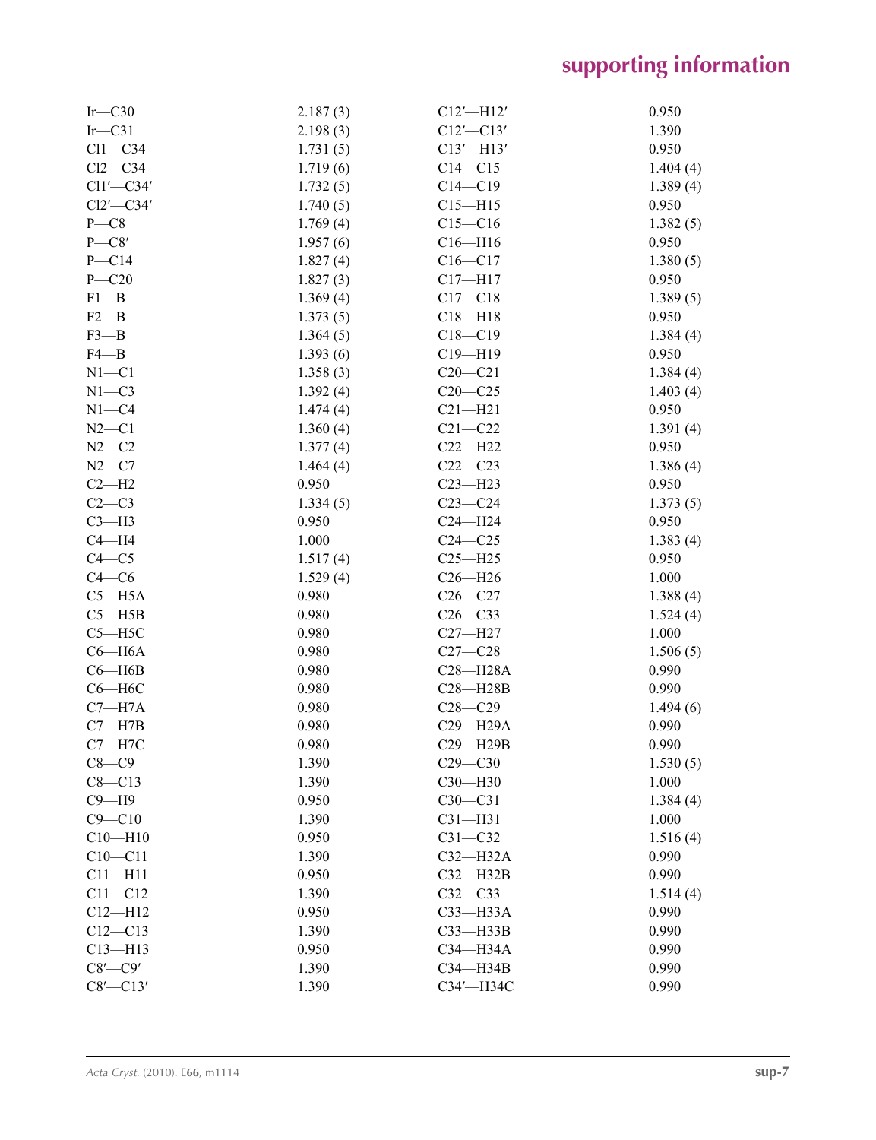| $Ir$ -C30      | 2.187(3) | $C12'$ —H12'    | 0.950    |
|----------------|----------|-----------------|----------|
| $Ir$ -C31      | 2.198(3) | $C12'$ - $C13'$ | 1.390    |
| $Cl1-C34$      | 1.731(5) | $C13'$ -H13'    | 0.950    |
| $Cl2-C34$      | 1.719(6) | $C14 - C15$     | 1.404(4) |
| $Cl1'$ -C34'   | 1.732(5) | $C14 - C19$     | 1.389(4) |
| $Cl2'$ -C34'   | 1.740(5) | $C15 - H15$     | 0.950    |
| $P - C8$       | 1.769(4) | $C15 - C16$     | 1.382(5) |
| $P - C8'$      | 1.957(6) | $C16 - H16$     | 0.950    |
| $P - C14$      | 1.827(4) | $C16 - C17$     | 1.380(5) |
| $P - C20$      | 1.827(3) | $C17 - H17$     | 0.950    |
| $F1 - B$       | 1.369(4) | $C17 - C18$     | 1.389(5) |
| $F2 - B$       | 1.373(5) | $C18 - H18$     | 0.950    |
| $F3 - B$       | 1.364(5) | $C18 - C19$     | 1.384(4) |
| $F4 - B$       | 1.393(6) | $C19 - H19$     | 0.950    |
| $N1 - C1$      | 1.358(3) | $C20-C21$       | 1.384(4) |
| $N1 - C3$      | 1.392(4) | $C20-C25$       | 1.403(4) |
| $N1 - C4$      | 1.474(4) | $C21 - H21$     | 0.950    |
| $N2 - C1$      | 1.360(4) | $C21 - C22$     | 1.391(4) |
| $N2-C2$        | 1.377(4) | $C22 - H22$     | 0.950    |
| $N2-C7$        | 1.464(4) | $C22-C23$       | 1.386(4) |
| $C2-H2$        | 0.950    | $C23 - H23$     | 0.950    |
| $C2-C3$        | 1.334(5) | $C23-C24$       | 1.373(5) |
| $C3-H3$        | 0.950    | $C24 - H24$     | 0.950    |
| $C4 - H4$      | 1.000    | $C24 - C25$     | 1.383(4) |
| $C4 - C5$      | 1.517(4) | $C25 - H25$     | 0.950    |
| $C4 - C6$      | 1.529(4) | $C26 - H26$     | 1.000    |
| $C5 - H5A$     | 0.980    | $C26 - C27$     | 1.388(4) |
| $C5 - H5B$     | 0.980    | $C26-C33$       | 1.524(4) |
| $C5 - H5C$     | 0.980    | $C27 - H27$     | 1.000    |
| $C6 - H6A$     | 0.980    | $C27 - C28$     | 1.506(5) |
| $C6 - H6B$     | 0.980    | $C28 - H28A$    | 0.990    |
| $C6 - H6C$     | 0.980    | $C28 - H28B$    | 0.990    |
| $C7 - H7A$     | 0.980    | $C28 - C29$     | 1.494(6) |
| $C7 - H7B$     | 0.980    | C29-H29A        | 0.990    |
| $C7 - H7C$     | 0.980    | C29-H29B        | 0.990    |
| $C8-C9$        | 1.390    | $C29 - C30$     | 1.530(5) |
| $C8 - C13$     | 1.390    | $C30 - H30$     | 1.000    |
| $C9 - H9$      | 0.950    | $C30-C31$       | 1.384(4) |
| $C9 - C10$     | 1.390    | $C31 - H31$     | 1.000    |
| $C10 - H10$    | 0.950    | $C31 - C32$     | 1.516(4) |
| $C10 - C11$    | 1.390    | $C32-H32A$      | 0.990    |
| $C11 - H11$    | 0.950    | $C32 - H32B$    | 0.990    |
| $C11 - C12$    | 1.390    | $C32-C33$       | 1.514(4) |
| $C12 - H12$    | 0.950    | C33-H33A        | 0.990    |
| $C12 - C13$    | 1.390    | $C33 - H33B$    | 0.990    |
| $C13 - H13$    | 0.950    | C34-H34A        | 0.990    |
| $C8'$ - $C9'$  | 1.390    | C34-H34B        | 0.990    |
| $C8'$ - $C13'$ | 1.390    | СЗ4'-НЗ4С       | 0.990    |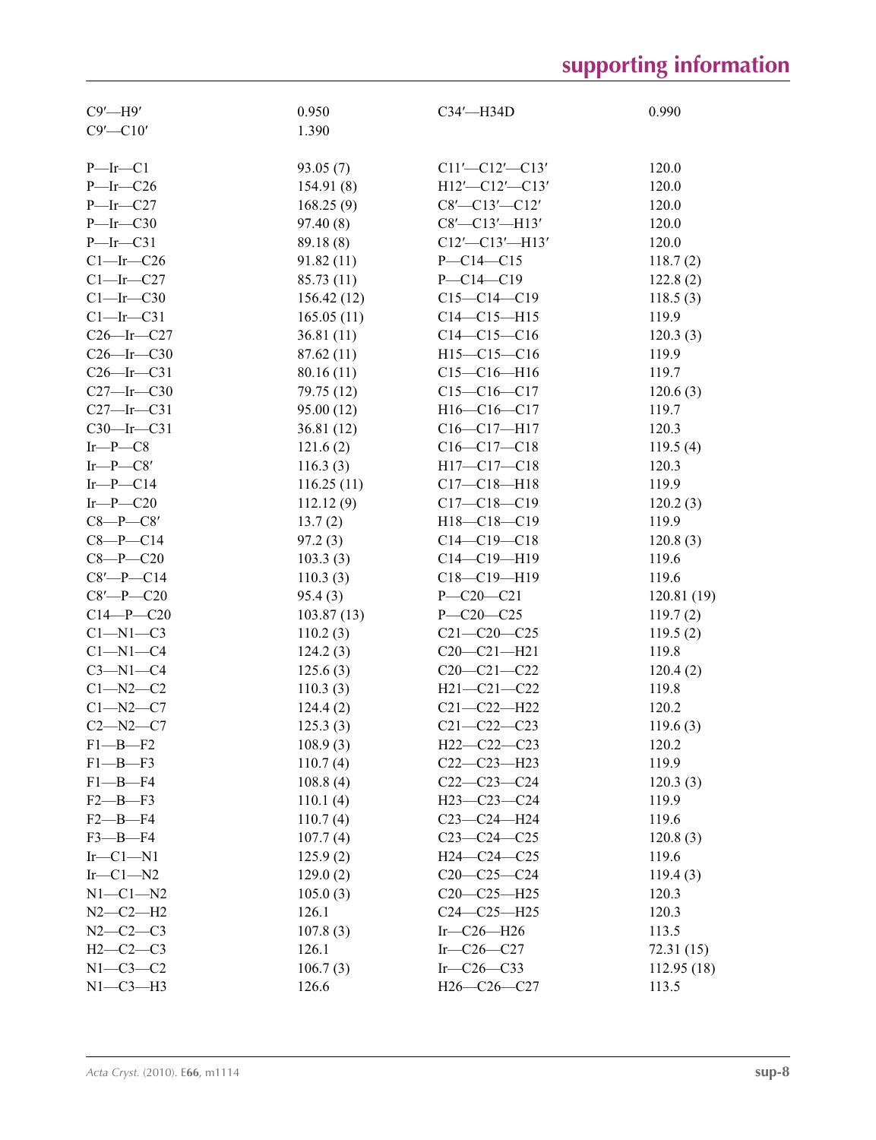# **supporting information**

| $C9'$ —H $9'$                  | 0.950      | $C34'$ —H34D             | 0.990      |
|--------------------------------|------------|--------------------------|------------|
| $C9'$ - $C10'$                 | 1.390      |                          |            |
|                                |            |                          |            |
| $P$ —Ir—C1                     | 93.05(7)   | $C11'$ - $C12'$ - $C13'$ | 120.0      |
| $P$ -Ir-C26                    | 154.91(8)  | $H12'$ - $Cl2'$ - $Cl3'$ | 120.0      |
| $P$ -Ir-C27                    | 168.25(9)  | $C8'$ - $C13'$ - $C12'$  | 120.0      |
| $P$ -Ir-C30                    | 97.40(8)   | $C8'$ - $C13'$ - $H13'$  | 120.0      |
| $P$ —Ir—C31                    | 89.18(8)   | $C12' - C13' - H13'$     | 120.0      |
| $Cl$ -Ir-C26                   | 91.82(11)  | $P - C14 - C15$          | 118.7(2)   |
| $Cl$ -Ir-C27                   | 85.73 (11) | $P - C14 - C19$          | 122.8(2)   |
| $Cl$ -Ir-C30                   | 156.42(12) | $C15-C14-C19$            | 118.5(3)   |
| $Cl$ -Ir-C31                   | 165.05(11) | $C14 - C15 - H15$        | 119.9      |
| $C26$ -Ir- $C27$               | 36.81(11)  | $C14-C15-C16$            | 120.3(3)   |
| $C26$ -Ir- $C30$               | 87.62 (11) | $H15-C15-C16$            | 119.9      |
| $C26$ -Ir- $C31$               | 80.16(11)  | $C15-C16-H16$            | 119.7      |
| $C27$ -Ir- $C30$               | 79.75 (12) | $C15-C16-C17$            | 120.6(3)   |
| $C27$ -Ir- $C31$               | 95.00 (12) | H16-C16-C17              | 119.7      |
| $C30$ -Ir- $C31$               | 36.81(12)  | $C16-C17-H17$            | 120.3      |
| $Ir$ - $P$ - $C8$              | 121.6(2)   | $C16 - C17 - C18$        | 119.5(4)   |
|                                |            |                          |            |
| Ir—P—C8'<br>$Ir$ - $P$ - $C14$ | 116.3(3)   | H17-C17-C18              | 120.3      |
|                                | 116.25(11) | $C17 - C18 - H18$        | 119.9      |
| $Ir$ - $P$ - $C20$             | 112.12(9)  | $C17 - C18 - C19$        | 120.2(3)   |
| $C8-P$ — $C8'$                 | 13.7(2)    | H18-C18-C19              | 119.9      |
| $C8-P$ -C14                    | 97.2(3)    | $C14-C19-C18$            | 120.8(3)   |
| $C8 - P - C20$                 | 103.3(3)   | $C14 - C19 - H19$        | 119.6      |
| $C8'$ -P- $C14$                | 110.3(3)   | $C18 - C19 - H19$        | 119.6      |
| $C8'$ -P- $C20$                | 95.4(3)    | $P - C20 - C21$          | 120.81(19) |
| $C14 - P - C20$                | 103.87(13) | $P - C20 - C25$          | 119.7(2)   |
| $C1-M1-C3$                     | 110.2(3)   | $C21 - C20 - C25$        | 119.5(2)   |
| $C1 - N1 - C4$                 | 124.2(3)   | $C20-C21-H21$            | 119.8      |
| $C3-M1-C4$                     | 125.6(3)   | $C20 - C21 - C22$        | 120.4(2)   |
| $C1 - N2 - C2$                 | 110.3(3)   | H21-C21-C22              | 119.8      |
| $C1 - N2 - C7$                 | 124.4(2)   | $C21 - C22 - H22$        | 120.2      |
| $C2 - N2 - C7$                 | 125.3(3)   | $C21 - C22 - C23$        | 119.6(3)   |
| $F1 - B - F2$                  | 108.9(3)   | H22-C22-C23              | 120.2      |
| $F1 - B - F3$                  | 110.7(4)   | $C22-C23-H23$            | 119.9      |
| $F1 - B - F4$                  | 108.8(4)   | $C22-C23-C24$            | 120.3(3)   |
| $F2$ —B—F3                     | 110.1(4)   | H23-C23-C24              | 119.9      |
| $F2$ —B—F4                     | 110.7(4)   | $C23-C24-H24$            | 119.6      |
| $F3$ —B—F4                     | 107.7(4)   | $C23-C24-C25$            | 120.8(3)   |
| $Ir-C1-N1$                     | 125.9(2)   | H24-C24-C25              | 119.6      |
| $Ir-C1-N2$                     | 129.0(2)   | $C20-C25-C24$            | 119.4(3)   |
| $N1-C1-N2$                     | 105.0(3)   | $C20-C25-H25$            | 120.3      |
| $N2-C2-H2$                     | 126.1      | $C24 - C25 - H25$        | 120.3      |
| $N2-C2-C3$                     | 107.8(3)   | Ir- $C26$ -H26           | 113.5      |
| $H2-C2-C3$                     | 126.1      | Ir- $C26$ - $C27$        | 72.31(15)  |
| $N1-C3-C2$                     | 106.7(3)   | Ir- $C26-C33$            | 112.95(18) |
| $N1-C3-H3$                     | 126.6      | $H26-C26-C27$            | 113.5      |
|                                |            |                          |            |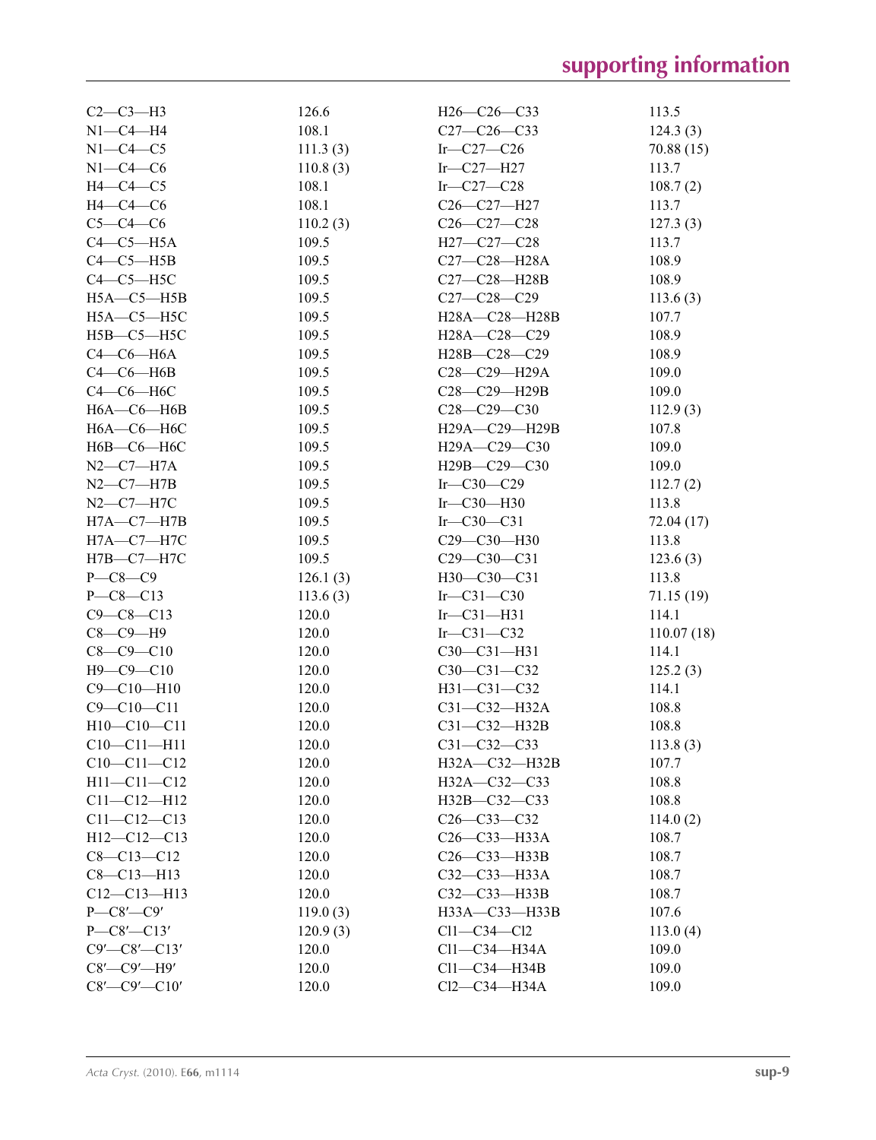| $C2-C3-H3$             | 126.6    | $H26-C26-C33$                                      | 113.5      |
|------------------------|----------|----------------------------------------------------|------------|
| $N1-C4-H4$             | 108.1    | $C27-C26-C33$                                      | 124.3(3)   |
| $N1-C4-C5$             | 111.3(3) | Ir- $C27-C26$                                      | 70.88(15)  |
| $N1-C4-C6$             | 110.8(3) | $Ir$ -C27-H27                                      | 113.7      |
| $H4-C4-C5$             | 108.1    | Ir- $C27-C28$                                      | 108.7(2)   |
| $H4-C4-C6$             | 108.1    | C26-C27-H27                                        | 113.7      |
| $C5-C4-C6$             | 110.2(3) | $C26-C27-C28$                                      | 127.3(3)   |
| $C4-C5-H5A$            | 109.5    | H27-C27-C28                                        | 113.7      |
| $C4-C5-H5B$            | 109.5    | C27-C28-H28A                                       | 108.9      |
| $C4-C5-H5C$            | 109.5    | C27-C28-H28B                                       | 108.9      |
| $H5A - C5 - H5B$       | 109.5    | $C27 - C28 - C29$                                  | 113.6(3)   |
| $H5A - C5 - H5C$       | 109.5    | H28A-C28-H28B                                      | 107.7      |
| $H5B - C5 - H5C$       | 109.5    | H28A-C28-C29                                       | 108.9      |
| $C4-C6-H6A$            | 109.5    | H28B-C28-C29                                       | 108.9      |
| $C4-C6-H6B$            | 109.5    | C28-C29-H29A                                       | 109.0      |
| $C4-C6-H6C$            | 109.5    | C28-C29-H29B                                       | 109.0      |
| $H6A - C6 - H6B$       | 109.5    | $C28 - C29 - C30$                                  | 112.9(3)   |
| $H6A - C6 - H6C$       | 109.5    | H29A-C29-H29B                                      | 107.8      |
| $H6B$ — $C6$ — $H6C$   | 109.5    | H <sub>29</sub> A-C <sub>29</sub> -C <sub>30</sub> | 109.0      |
| $N2$ — $C7$ — $H7A$    | 109.5    | H29B-C29-C30                                       | 109.0      |
| $N2-C7-H7B$            | 109.5    | Ir- $C30-C29$                                      | 112.7(2)   |
| $N2-C7-H7C$            | 109.5    | Ir- $C30$ -H30                                     | 113.8      |
| $H7A - C7 - H7B$       | 109.5    | Ir $-C30-C31$                                      | 72.04 (17) |
| $H7A - C7 - H7C$       | 109.5    | C29-C30-H30                                        | 113.8      |
| $H7B - C7 - H7C$       | 109.5    | C29-C30-C31                                        | 123.6(3)   |
| $P$ — $C8$ — $C9$      | 126.1(3) | H30-C30-C31                                        | 113.8      |
| $P - C8 - C13$         | 113.6(3) | Ir $-C31-C30$                                      | 71.15 (19) |
| $C9 - C8 - C13$        | 120.0    | $Ir$ -C31-H31                                      | 114.1      |
| $C8-C9-H9$             | 120.0    | Ir $-C31-C32$                                      | 110.07(18) |
| $C8 - C9 - C10$        | 120.0    | $C30-C31-H31$                                      | 114.1      |
| $H9-C9-C10$            | 120.0    | $C30-C31-C32$                                      | 125.2(3)   |
| $C9 - C10 - H10$       | 120.0    | H31-C31-C32                                        | 114.1      |
| $C9 - C10 - C11$       | 120.0    | C31-C32-H32A                                       | 108.8      |
| $H10-C10-C11$          | 120.0    | C31-C32-H32B                                       | 108.8      |
| $C10-C11-H11$          | 120.0    | $C31 - C32 - C33$                                  | 113.8(3)   |
| $C10-C11-C12$          | 120.0    | $H32A - C32 - H32B$                                | 107.7      |
| $H11 - C11 - C12$      | 120.0    | H32A-C32-C33                                       | 108.8      |
| $C11 - C12 - H12$      | 120.0    | H32B-C32-C33                                       | 108.8      |
| $C11 - C12 - C13$      | 120.0    | $C26 - C33 - C32$                                  | 114.0(2)   |
| $H12-C12-C13$          | 120.0    | $C26 - C33 - H33A$                                 | 108.7      |
| $C8 - C13 - C12$       | 120.0    | C26-C33-H33B                                       | 108.7      |
| $C8 - C13 - H13$       | 120.0    | $C32 - C33 - H33A$                                 | 108.7      |
| $C12-C13-H13$          | 120.0    | C32-C33-H33B                                       | 108.7      |
| $P$ — $C8$ ′— $C9'$    | 119.0(3) | H33A-C33-H33B                                      | 107.6      |
| $P - C8' - C13'$       | 120.9(3) | $Cl1-C34-C12$                                      | 113.0(4)   |
| $C9'$ - $C8'$ - $C13'$ | 120.0    | $Cl1-C34-H34A$                                     | 109.0      |
| $C8'$ — $C9'$ — $H9'$  | 120.0    | $Cl1-C34-H34B$                                     | 109.0      |
| $C8'$ - $C9'$ - $C10'$ | 120.0    | Cl2-C34-H34A                                       | 109.0      |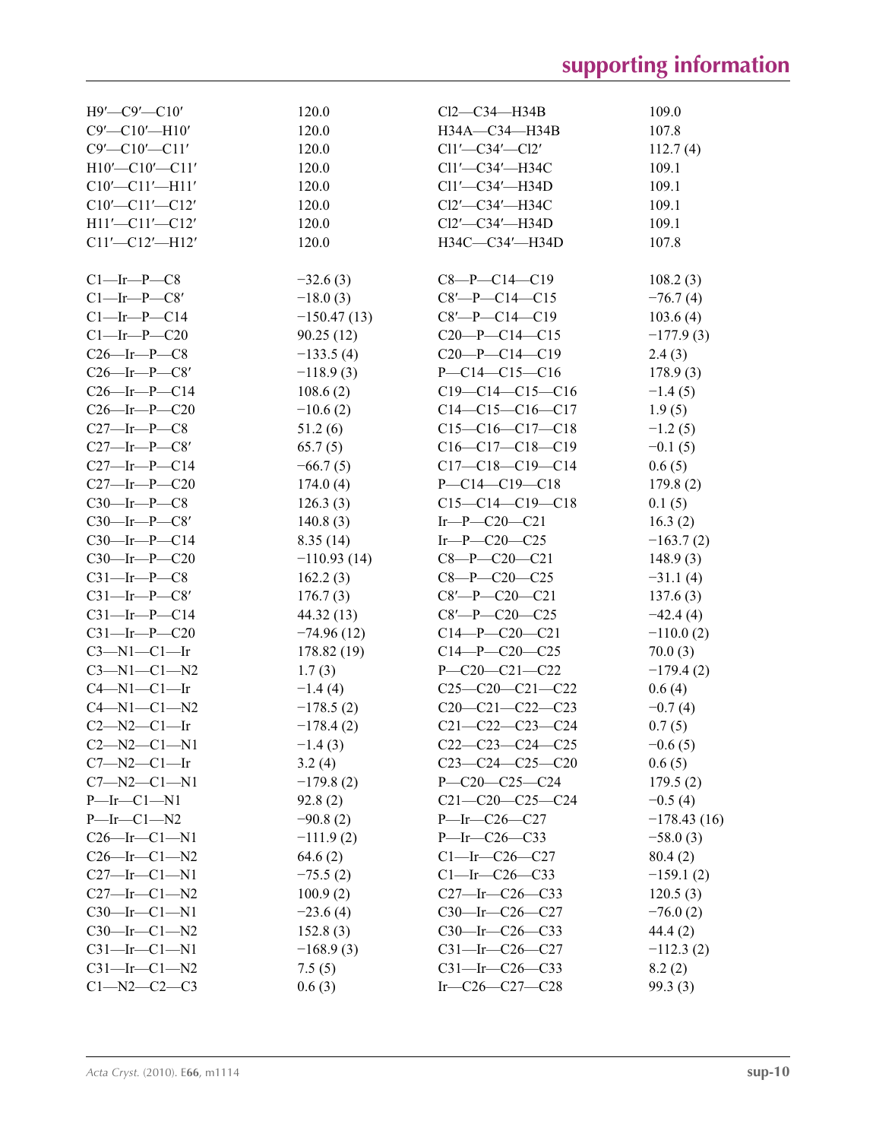| $H9'$ — $C9'$ — $C10'$                              | 120.0         | $Cl2-C34-H34B$                  | 109.0         |
|-----------------------------------------------------|---------------|---------------------------------|---------------|
| $C9'$ - $C10'$ - $H10'$                             | 120.0         | H34A-C34-H34B                   | 107.8         |
| $C9'$ - $C10'$ - $C11'$                             | 120.0         | $Cl1'$ — $Cl2'$                 | 112.7(4)      |
| $H10'$ -C10'-C11'                                   | 120.0         | $Cl1'$ — $Cl34'$ — $H34C$       | 109.1         |
| $C10'$ - $C11'$ - $H11'$                            | 120.0         | $Cl1'$ — $Cl34'$ — $H34D$       | 109.1         |
| $C10'$ - $C11'$ - $C12'$                            | 120.0         | $Cl2'$ — $Cl34'$ — $H34C$       | 109.1         |
| $H11'$ - $Cl1'$ - $Cl2'$                            | 120.0         | $Cl2'$ — $Cl34'$ — $H34D$       | 109.1         |
| $Cl1'$ - $Cl2'$ - $H12'$                            | 120.0         | H34C-C34'-H34D                  | 107.8         |
|                                                     |               |                                 |               |
| $C1$ —Ir—P—C8                                       | $-32.6(3)$    | $C8 - P - C14 - C19$            | 108.2(3)      |
| $Cl$ —Ir—P—C8'                                      | $-18.0(3)$    | $C8$ '-P-C14-C15                | $-76.7(4)$    |
| $Cl$ -Ir-P-C14                                      | $-150.47(13)$ | $C8'$ -P-C14-C19                | 103.6(4)      |
| $C1$ —Ir—P—C20                                      | 90.25(12)     | $C20-P-C14-C15$                 | $-177.9(3)$   |
| $C26$ -Ir-P- $C8$                                   | $-133.5(4)$   | $C20-P-C14-C19$                 | 2.4(3)        |
| $C26$ —Ir—P—C8'                                     | $-118.9(3)$   | $P - C14 - C15 - C16$           | 178.9(3)      |
| $C26$ -Ir-P-C14                                     | 108.6(2)      | $C19-C14-C15-C16$               | $-1.4(5)$     |
| $C26$ —Ir—P—C20                                     | $-10.6(2)$    | $C14-C15-C16-C17$               | 1.9(5)        |
| $C27$ —Ir—P—C8                                      | 51.2(6)       | $C15-C16-C17-C18$               | $-1.2(5)$     |
| $C27$ —Ir—P—C8'                                     | 65.7(5)       | $C16-C17-C18-C19$               | $-0.1(5)$     |
| $C27$ —Ir—P—C14                                     | $-66.7(5)$    | $C17-C18-C19-C14$               | 0.6(5)        |
| $C27$ —Ir—P—C20                                     | 174.0(4)      | $P - C14 - C19 - C18$           | 179.8(2)      |
| $C30$ —Ir—P—C8                                      | 126.3(3)      | $C15-C14-C19-C18$               | 0.1(5)        |
| $C30$ —Ir—P—C8'                                     | 140.8(3)      | $Ir$ - $P$ - $C20$ - $C21$      |               |
|                                                     | 8.35(14)      | Ir-P-C20-C25                    | 16.3(2)       |
| $C30$ —Ir—P—C14                                     |               |                                 | $-163.7(2)$   |
| $C30$ —Ir—P—C20                                     | $-110.93(14)$ | $C8 - P - C20 - C21$            | 148.9(3)      |
| $C31$ —Ir—P—C8                                      | 162.2(3)      | $C8 - P - C20 - C25$            | $-31.1(4)$    |
| $C31$ —Ir—P—C8'                                     | 176.7(3)      | $C8'$ —P— $C20$ — $C21$         | 137.6(3)      |
| $C31$ —Ir—P—C14                                     | 44.32 (13)    | $C8$ '—P—C20—C25                | $-42.4(4)$    |
| $C31$ —Ir—P—C20                                     | $-74.96(12)$  | $C14-P-C20-C21$                 | $-110.0(2)$   |
| $C3-M1-C1$ -Ir                                      | 178.82 (19)   | $C14-P-C20-C25$                 | 70.0(3)       |
| $C3 - N1 - C1 - N2$                                 | 1.7(3)        | $P - C20 - C21 - C22$           | $-179.4(2)$   |
| $C4 - N1 - C1 - Ir$                                 | $-1.4(4)$     | $C25-C20-C21-C22$               | 0.6(4)        |
| $C4 - N1 - C1 - N2$                                 | $-178.5(2)$   | $C20-C21-C22-C23$               | $-0.7(4)$     |
| $C2 - N2 - C1 - Ir$                                 | $-178.4(2)$   | $C21 - C22 - C23 - C24$         | 0.7(5)        |
| $C2 - N2 - C1 - N1$                                 | $-1.4(3)$     | $C22-C23-C24-C25$               | $-0.6(5)$     |
| $C7 - N2 - C1 - Ir$                                 | 3.2(4)        | $C23-C24-C25-C20$               | 0.6(5)        |
| $C7 - N2 - C1 - N1$                                 | $-179.8(2)$   | $P - C20 - C25 - C24$           | 179.5(2)      |
| $P\rightarrow$ Ir $\rightarrow$ C1 $\rightarrow$ N1 | 92.8(2)       | $C21 - C20 - C25 - C24$         | $-0.5(4)$     |
| $P$ -Ir-Cl-N2                                       | $-90.8(2)$    | $P\rightarrow$ Ir $-C26$ $-C27$ | $-178.43(16)$ |
| $C26$ —Ir—C1—N1                                     | $-111.9(2)$   | $P\rightarrow$ Ir $-C26$ $-C33$ | $-58.0(3)$    |
| $C26$ -Ir- $C1$ -N2                                 | 64.6(2)       | $Cl$ —Ir—C26—C27                | 80.4(2)       |
| $C27$ —Ir—C1—N1                                     | $-75.5(2)$    | $Cl$ -Ir-C26-C33                | $-159.1(2)$   |
| $C27$ -Ir- $C1$ -N2                                 | 100.9(2)      | $C27$ -Ir- $C26$ - $C33$        | 120.5(3)      |
| $C30$ —Ir—C1—N1                                     | $-23.6(4)$    | $C30$ —Ir—C26—C27               | $-76.0(2)$    |
| $C30$ —Ir—C1—N2                                     | 152.8(3)      | $C30$ —Ir—C26—C33               | 44.4 (2)      |
| $C31$ —Ir—C $1$ —N $1$                              | $-168.9(3)$   | $C31$ -Ir- $C26$ - $C27$        | $-112.3(2)$   |
| $C31$ —Ir—C1—N2                                     | 7.5(5)        | $C31$ —Ir—C26—C33               | 8.2(2)        |
| $C1 - N2 - C2 - C3$                                 | 0.6(3)        | Ir- $C26 - C27 - C28$           | 99.3(3)       |